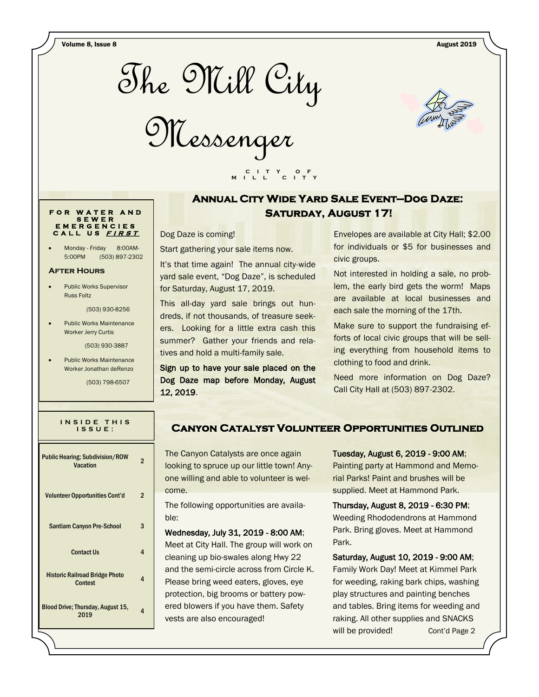Volume 8, Issue 8 August 2019



Messenger



# **Annual City Wide Yard Sale Event—Dog Daze: SATURDAY, AUGUST 17!**

Dog Daze is coming!

Start gathering your sale items now.

It's that time again! The annual city-wide yard sale event, "Dog Daze", is scheduled for Saturday, August 17, 2019.

 **C I T Y O F M I L L C I T Y**

This all-day yard sale brings out hundreds, if not thousands, of treasure seekers. Looking for a little extra cash this summer? Gather your friends and relatives and hold a multi-family sale.

Sign up to have your sale placed on the Dog Daze map before Monday, August 12, 2019.

Envelopes are available at City Hall; \$2.00 for individuals or \$5 for businesses and civic groups.

Not interested in holding a sale, no problem, the early bird gets the worm! Maps are available at local businesses and each sale the morning of the 17th.

Make sure to support the fundraising efforts of local civic groups that will be selling everything from household items to clothing to food and drink.

Need more information on Dog Daze? Call City Hall at (503) 897-2302.

## **Canyon Catalyst Volunteer Opportunities Outlined**

The Canyon Catalysts are once again looking to spruce up our little town! Anyone willing and able to volunteer is welcome.

The following opportunities are available:

Wednesday, July 31, 2019 - 8:00 AM; Meet at City Hall. The group will work on cleaning up bio-swales along Hwy 22 and the semi-circle across from Circle K. Please bring weed eaters, gloves, eye protection, big brooms or battery powered blowers if you have them. Safety vests are also encouraged!

### Tuesday, August 6, 2019 - 9:00 AM;

Painting party at Hammond and Memorial Parks! Paint and brushes will be supplied. Meet at Hammond Park.

Thursday, August 8, 2019 - 6:30 PM; Weeding Rhododendrons at Hammond Park. Bring gloves. Meet at Hammond Park.

Saturday, August 10, 2019 - 9:00 AM; Family Work Day! Meet at Kimmel Park for weeding, raking bark chips, washing play structures and painting benches and tables. Bring items for weeding and raking. All other supplies and SNACKS will be provided! Cont'd Page 2

### **F O R W A T E R A N D S E W E R E M E R G E N C I E S C A L L U S <sup>F</sup> <sup>I</sup> <sup>R</sup> <sup>S</sup> <sup>T</sup>**

Monday - Friday 8:00AM-5:00PM (503) 897-2302

#### **After Hours**

 Public Works Supervisor Russ Foltz

(503) 930-8256

 Public Works Maintenance Worker Jerry Curtis

(503) 930-3887

 Public Works Maintenance Worker Jonathan deRenzo

(503) 798-6507

| INSIDE THIS |  |
|-------------|--|
| $IS$ SUE :  |  |
|             |  |

| <b>Public Hearing; Subdivision/ROW</b><br>Vacation | $\overline{2}$ |
|----------------------------------------------------|----------------|
| <b>Volunteer Opportunities Cont'd</b>              | 2              |
| <b>Santiam Canyon Pre-School</b>                   | 3              |
| <b>Contact Us</b>                                  | 4              |
| <b>Historic Railroad Bridge Photo</b><br>Contest   | 4              |
| Blood Drive; Thursday, August 15,<br>2019          | 4              |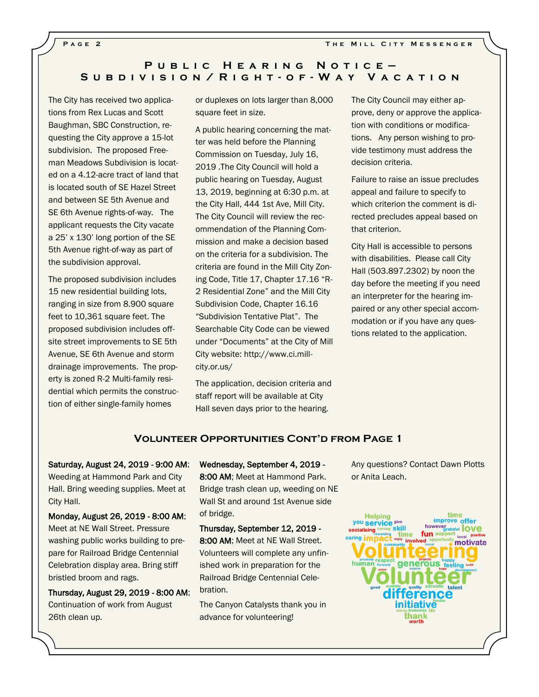### **P u b l i c H e a r i n g N o t i c e — S u b d i v i s i o n / R i g h t - o f - W a y V a c a t i o n**

The City has received two applications from Rex Lucas and Scott Baughman, SBC Construction, requesting the City approve a 15-lot subdivision. The proposed Freeman Meadows Subdivision is located on a 4.12-acre tract of land that is located south of SE Hazel Street and between SE 5th Avenue and SE 6th Avenue rights-of-way. The applicant requests the City vacate a 25' x 130' long portion of the SE 5th Avenue right-of-way as part of the subdivision approval.

The proposed subdivision includes 15 new residential building lots, ranging in size from 8.900 square feet to 10,361 square feet. The proposed subdivision includes offsite street improvements to SE 5th Avenue, SE 6th Avenue and storm drainage improvements. The property is zoned R-2 Multi-family residential which permits the construction of either single-family homes

or duplexes on lots larger than 8,000 square feet in size.

A public hearing concerning the matter was held before the Planning Commission on Tuesday, July 16, 2019 .The City Council will hold a public hearing on Tuesday, August 13, 2019, beginning at 6:30 p.m. at the City Hall, 444 1st Ave, Mill City. The City Council will review the recommendation of the Planning Commission and make a decision based on the criteria for a subdivision. The criteria are found in the Mill City Zoning Code, Title 17, Chapter 17.16 "R-2 Residential Zone" and the Mill City Subdivision Code, Chapter 16.16 "Subdivision Tentative Plat". The Searchable City Code can be viewed under "Documents" at the City of Mill City website: http://www.ci.millcity.or.us/

The application, decision criteria and staff report will be available at City Hall seven days prior to the hearing.

The City Council may either approve, deny or approve the application with conditions or modifications. Any person wishing to provide testimony must address the decision criteria.

Failure to raise an issue precludes appeal and failure to specify to which criterion the comment is directed precludes appeal based on that criterion.

City Hall is accessible to persons with disabilities. Please call City Hall (503.897.2302) by noon the day before the meeting if you need an interpreter for the hearing impaired or any other special accommodation or if you have any questions related to the application.

### **Volunteer Opportunities Cont'd from Page 1**

Saturday, August 24, 2019 - 9:00 AM; Weeding at Hammond Park and City Hall. Bring weeding supplies. Meet at City Hall.

Monday, August 26, 2019 - 8:00 AM; Meet at NE Wall Street. Pressure washing public works building to prepare for Railroad Bridge Centennial Celebration display area. Bring stiff bristled broom and rags.

Thursday, August 29, 2019 - 8:00 AM; Continuation of work from August 26th clean up.

Wednesday, September 4, 2019 -

8:00 AM; Meet at Hammond Park. Bridge trash clean up, weeding on NE Wall St and around 1st Avenue side of bridge.

Thursday, September 12, 2019 - 8:00 AM; Meet at NE Wall Street. Volunteers will complete any unfinished work in preparation for the Railroad Bridge Centennial Cele-

The Canyon Catalysts thank you in advance for volunteering!

bration.

Any questions? Contact Dawn Plotts or Anita Leach.

time **Helping** improve offer you service give however<br> **Suppose the COVE Šskill** ocialising fun sup time involved motivate human generous nitiativė thanl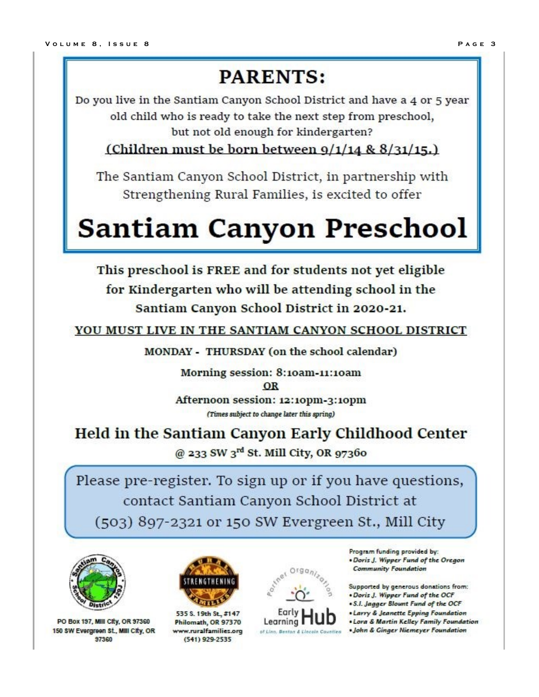# **PARENTS:**

Do you live in the Santiam Canyon School District and have a 4 or 5 year old child who is ready to take the next step from preschool, but not old enough for kindergarten?

(Children must be born between  $9/1/14$  &  $8/31/15$ .)

The Santiam Canyon School District, in partnership with Strengthening Rural Families, is excited to offer

# **Santiam Canyon Preschool**

This preschool is FREE and for students not yet eligible for Kindergarten who will be attending school in the Santiam Canyon School District in 2020-21.

YOU MUST LIVE IN THE SANTIAM CANYON SCHOOL DISTRICT

MONDAY - THURSDAY (on the school calendar)

Morning session: 8:10am-11:10am OR Afternoon session: 12:10pm-3:10pm

(Times subject to change later this spring)

Held in the Santiam Canyon Early Childhood Center @ 233 SW 3rd St. Mill City, OR 97360

Please pre-register. To sign up or if you have questions, contact Santiam Canyon School District at (503) 897-2321 or 150 SW Evergreen St., Mill City



PO Box 197, Mill City, OR 97360 150 SW Evergreen St., MIII City, OR 97360



535 S. 19th St., #147 Philomath, OR 97370 www.ruralfamilies.org (541) 929-2535



Program funding provided by: . Doris J. Wipper Fund of the Oregon **Community Foundation** 

Supported by generous donations from: . Doris J. Wipper Fund of the OCF

- . S.I. Jagger Blount Fund of the OCF
- Larry & Jeanette Epping Foundation
- . Lora & Martin Kelley Family Foundation